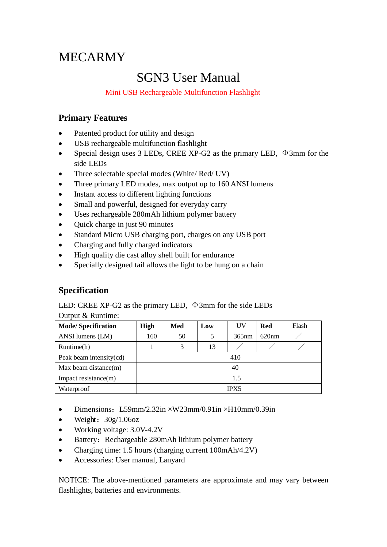# MECARMY

## SGN3 User Manual

#### Mini USB Rechargeable Multifunction Flashlight

## **Primary Features**

- Patented product for utility and design
- USB rechargeable multifunction flashlight
- Special design uses 3 LEDs, CREE XP-G2 as the primary LED,  $\Phi$ 3mm for the side LEDs
- Three selectable special modes (White/ Red/ UV)
- Three primary LED modes, max output up to 160 ANSI lumens
- Instant access to different lighting functions
- Small and powerful, designed for everyday carry
- Uses rechargeable 280mAh lithium polymer battery
- Quick charge in just 90 minutes
- Standard Micro USB charging port, charges on any USB port
- Charging and fully charged indicators
- High quality die cast alloy shell built for endurance
- Specially designed tail allows the light to be hung on a chain

## **Specification**

LED: CREE XP-G2 as the primary LED,  $\Phi$ 3mm for the side LEDs

|  | Output & Runtime: |
|--|-------------------|
|--|-------------------|

| <b>Mode/Specification</b> | <b>High</b> | Med | Low | UV    | <b>Red</b> | Flash |  |  |
|---------------------------|-------------|-----|-----|-------|------------|-------|--|--|
| ANSI lumens (LM)          | 160         | 50  |     | 365nm | 620nm      |       |  |  |
| Runtime(h)                |             |     | 13  |       |            |       |  |  |
| Peak beam intensity(cd)   | 410         |     |     |       |            |       |  |  |
| Max beam distance $(m)$   | 40          |     |     |       |            |       |  |  |
| Impact resistance(m)      | 1.5         |     |     |       |            |       |  |  |
| Waterproof                | <b>IPX5</b> |     |     |       |            |       |  |  |

- Dimensions: L59mm/2.32in  $\times$ W23mm/0.91in  $\times$ H10mm/0.39in
- Weight:  $30g/1.06oz$
- Working voltage: 3.0V-4.2V
- Battery: Rechargeable 280mAh lithium polymer battery
- Charging time: 1.5 hours (charging current 100mAh/4.2V)
- Accessories: User manual, Lanyard

NOTICE: The above-mentioned parameters are approximate and may vary between flashlights, batteries and environments.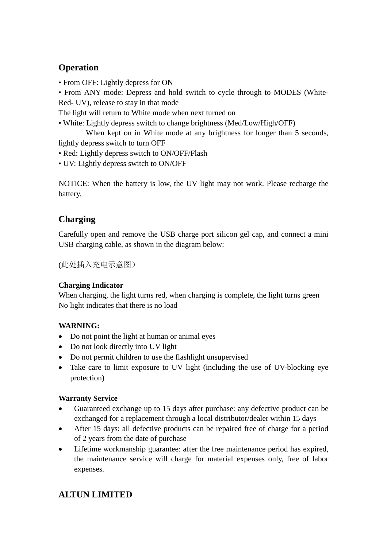## **Operation**

• From OFF: Lightly depress for ON

• From ANY mode: Depress and hold switch to cycle through to MODES (White-Red- UV), release to stay in that mode

The light will return to White mode when next turned on

• White: Lightly depress switch to change brightness (Med/Low/High/OFF)

When kept on in White mode at any brightness for longer than 5 seconds, lightly depress switch to turn OFF

- Red: Lightly depress switch to ON/OFF/Flash
- UV: Lightly depress switch to ON/OFF

NOTICE: When the battery is low, the UV light may not work. Please recharge the battery.

## **Charging**

Carefully open and remove the USB charge port silicon gel cap, and connect a mini USB charging cable, as shown in the diagram below:

(此处插入充电示意图)

#### **Charging Indicator**

When charging, the light turns red, when charging is complete, the light turns green No light indicates that there is no load

#### **WARNING:**

- Do not point the light at human or animal eyes
- Do not look directly into UV light
- Do not permit children to use the flashlight unsupervised
- Take care to limit exposure to UV light (including the use of UV-blocking eye protection)

#### **Warranty Service**

- Guaranteed exchange up to 15 days after purchase: any defective product can be exchanged for a replacement through a local distributor/dealer within 15 days
- After 15 days: all defective products can be repaired free of charge for a period of 2 years from the date of purchase
- Lifetime workmanship guarantee: after the free maintenance period has expired, the maintenance service will charge for material expenses only, free of labor expenses.

## **ALTUN LIMITED**